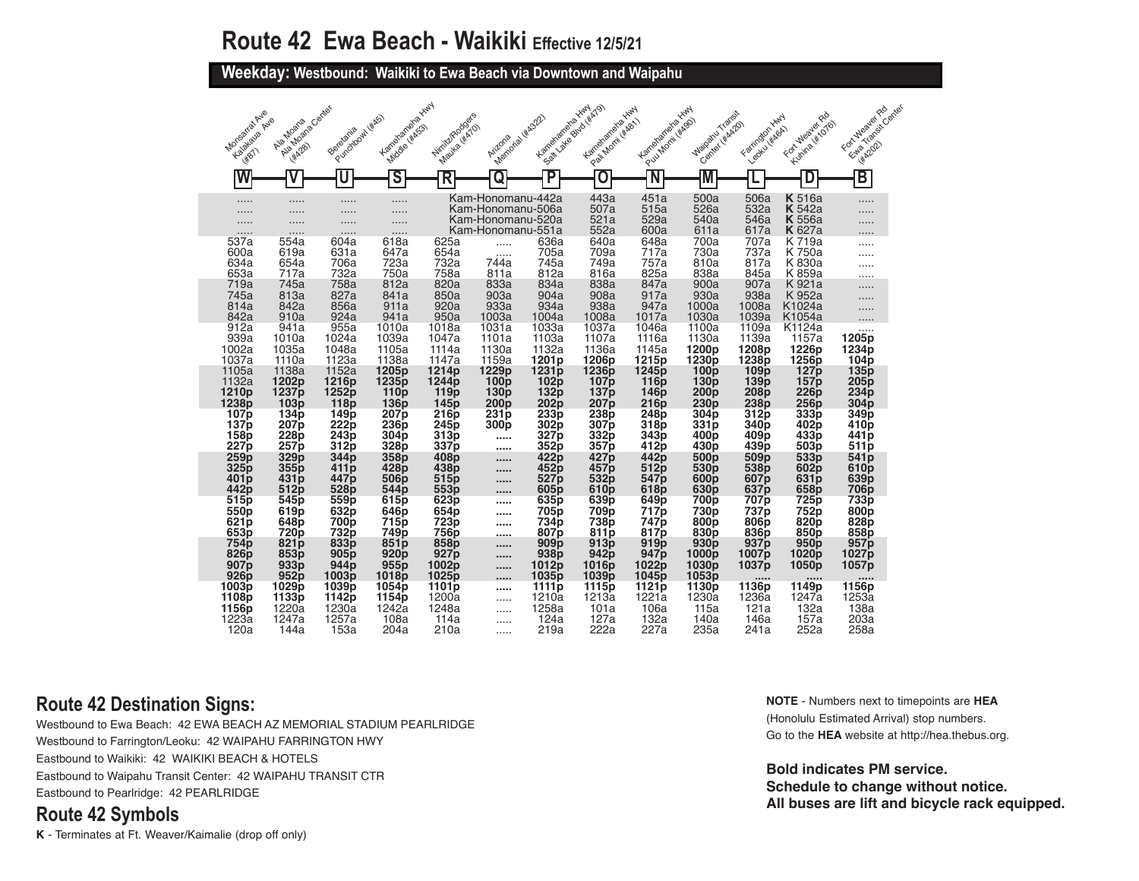**Weekday: Westbound: Waikiki to Ewa Beach via Downtown and Waipahu** 

| Monseira Ayle<br>Kalakaya Ayle       | Algeboara Center<br>Ale Moana | Purchoost ( KKS)<br>Beretania | Karreharranexaxwy<br>Middle (#ASS)    | Nirritz/Rodgers<br>Mauke (#ATO)       | Memorial Wickstr                       | Karrehanana Hwy   | Sail Lake Bouto (#A79)<br>Langianana Hury<br>P.exil Montiversity | Kanelangra Hun<br>P.w.Monti Wagon    | Maiparu Transit<br>Center (#AA2O) | Farington Hwy<br>Leoku Hikoa) | For Mealer Po<br>Kumina (#1076) | FortuNeaver Rd<br>Ethio Transit Canter |
|--------------------------------------|-------------------------------|-------------------------------|---------------------------------------|---------------------------------------|----------------------------------------|-------------------|------------------------------------------------------------------|--------------------------------------|-----------------------------------|-------------------------------|---------------------------------|----------------------------------------|
| <b>HPOTT</b>                         | <b>HA28</b>                   |                               |                                       |                                       | Arizona                                |                   |                                                                  |                                      |                                   |                               |                                 | <b>HAZOZ</b>                           |
| N                                    |                               | U                             | ऽ                                     | R                                     | Q                                      | P                 | O                                                                |                                      |                                   |                               |                                 | $\overline{\mathsf{B}}$                |
| .<br>                                | <br>.                         | <br>.                         | .<br>.                                |                                       | Kam-Honomanu-442a<br>Kam-Honomanu-506a |                   | 443a<br>507a                                                     | 451a<br>515a                         | 500a<br>526a                      | 506a<br>532a                  | <b>K</b> 516a<br><b>K</b> 542a  | .                                      |
|                                      | .                             | .                             | .                                     |                                       | Kam-Honomanu-520a<br>Kam-Honomanu-551a |                   | 521a<br>552a                                                     | 529a<br>600a                         | 540a<br>611a                      | 546a<br>617a                  | <b>K</b> 556a<br><b>K</b> 627a  |                                        |
| 537a<br>600a                         | 554a<br>619a                  | 604a<br>631a                  | .<br>618a<br>647a                     | 625a<br>654a                          |                                        | 636a<br>705a      | 640a<br>709a                                                     | 648a                                 | 700a<br>730a                      | 707a<br>737a                  | K 719a                          |                                        |
| 634a                                 | 654a                          | 706a                          | 723a                                  | 732a                                  | .<br>744a                              | 745a              | 749a                                                             | 717a<br>757a                         | 810a                              | 817a                          | K 750a<br>K 830a                |                                        |
| 653a                                 | 717a                          | 732a                          | 750a                                  | 758a                                  | 811a                                   | 812a              | 816a                                                             | 825a                                 | 838a                              | 845a                          | K 859a                          | .                                      |
| 719a                                 | 745a                          | 758a                          | 812a                                  | 820a                                  | 833a                                   | 834a              | 838a                                                             | 847a                                 | 900a                              | 907a                          | K 921a                          | .                                      |
| 745a                                 | 813a                          | 827a                          | 841a                                  | 850a                                  | 903a                                   | 904a              | 908a                                                             | 917a                                 | 930a                              | 938a                          | K 952a                          | .                                      |
| 814a                                 | 842a                          | 856a                          | 911a                                  | 920a                                  | 933a                                   | 934a              | 938a                                                             | 947a                                 | 1000a                             | 1008a                         | K1024a                          |                                        |
| 842a                                 | 910a                          | 924a                          | 941a                                  | 950a                                  | 1003a                                  | 1004a             | 1008a                                                            | 1017a                                | 1030a                             | 1039a                         | K <sub>1054a</sub>              |                                        |
| 912a                                 | 941a                          | 955a                          | 1010a                                 | 1018a                                 | 1031a                                  | 1033a             | 1037a                                                            | 1046a                                | 1100a                             | 1109a                         | K1124a                          |                                        |
| 939a                                 | 1010a                         | 1024a                         | 1039a                                 | 1047a                                 | 1101a                                  | 1103a             | 1107a                                                            | 1116a                                | 1130a                             | 1139a                         | 1157a                           | 1205p                                  |
| 1002a                                | 1035a                         | 1048a                         | 1105a                                 | 1114a                                 | 1130a                                  | 1132a             | 1136a                                                            | 1145a                                | 1200 <sub>p</sub>                 | 1208p                         | 1226p                           | 1234p                                  |
| 1037a                                | 1110a                         | 1123a                         | 1138a                                 | 1147a                                 | 1159a                                  | 1201 <sub>p</sub> | 1206p                                                            | 1215p                                | 1230p                             | 1238p                         | 1256p                           | 104p                                   |
| 1105a                                | 1138a                         | 1152a                         | 1205 <sub>p</sub>                     | 1214 <sub>p</sub>                     | 1229 <sub>p</sub>                      | 1231 <sub>p</sub> | 1236 <sub>p</sub>                                                | 1245 <sub>p</sub>                    | 100 <sub>p</sub>                  | 109 <sub>p</sub>              | 127 <sub>p</sub>                | 135p                                   |
| 1132a<br>1210 <sub>p</sub>           | 1202 <sub>p</sub><br>1237p    | 1216p<br>1252 <sub>p</sub>    | 1235 <sub>p</sub><br>110 <sub>p</sub> | 1244 <sub>p</sub><br>119 <sub>p</sub> | 100 <sub>p</sub><br>130p               | 102p<br>132p      | 107p                                                             | 116 <sub>p</sub>                     | 130 <sub>p</sub><br>200p          | 139 <sub>p</sub><br>208p      | 157p<br><b>226p</b>             | 205p<br>234p                           |
| 1238 <sub>p</sub>                    | 103p                          | 118p                          | 136 <sub>p</sub>                      | 145 <sub>p</sub>                      | 200p                                   | 202p              | 137 p<br>207 p                                                   | 146 <sub>p</sub><br>216 <sub>p</sub> | 230p                              | 238p                          | 256p                            | 304 <sub>p</sub>                       |
| 107 <sub>p</sub>                     | 134 <sub>p</sub>              | 149 <sub>p</sub>              | 207 <sub>p</sub>                      | 216 <sub>p</sub>                      | 231p                                   | 233p              | 238p                                                             | 248 <sub>p</sub>                     | 304 <sub>p</sub>                  | 312p                          | 333 <sub>p</sub>                | 349 <sub>p</sub>                       |
| 137p                                 | 207 <sub>p</sub>              | 222 <sub>p</sub>              | 236p                                  | 245 <sub>p</sub>                      | 300p                                   | 302 <sub>p</sub>  | 307p                                                             | 318 <sub>p</sub>                     | 331p                              | 340 <sub>p</sub>              | 402p                            | 410 <sub>p</sub>                       |
| 158p                                 | <b>228p</b>                   | 243p                          | 304p                                  | 313p                                  |                                        | 327 <sub>p</sub>  | 332p                                                             | 343p                                 | 400 <sub>p</sub>                  | 409p                          | 433p                            | 441 <sub>p</sub>                       |
| 227 <sub>p</sub>                     | 257p                          | 312p                          | 328p                                  | 337p                                  |                                        | 352p              | 357p                                                             | 412p                                 | 430p                              | 439p                          | 503 <sub>p</sub>                | 511 <sub>p</sub>                       |
| 259p                                 | 329p                          | 344p                          | 358p                                  | 408p                                  |                                        | 422p              | 427 p                                                            | 442p                                 | 500 <sub>p</sub>                  | 509p                          | 533p                            | 541 <sub>p</sub>                       |
| 325p                                 | 355p                          | 411 p                         | 428p                                  | 438p                                  | 1.1111                                 | 452p              | 457p                                                             | 512p                                 | 530p                              | 538p                          | 602p                            | 610p                                   |
| 401 <sub>p</sub>                     | 431p                          | 447p                          | 506p                                  | 515p                                  |                                        | 527 <sub>p</sub>  | 532p                                                             | 547 <sub>p</sub>                     | 600p                              | 607 <sub>p</sub>              | 631 <sub>p</sub>                | 639 <sub>p</sub>                       |
| 442p                                 | 512p                          | 528 <sub>p</sub>              | 544 <sub>D</sub>                      | 553p                                  |                                        | 605 <sub>p</sub>  | 610p                                                             | 618p                                 | 630 <sub>p</sub>                  | 637 <sub>p</sub>              | 658p                            | 706p                                   |
| 515 <sub>p</sub>                     | 545p                          | 559p                          | 615p                                  | 623p                                  |                                        | 635 <sub>p</sub>  | 639 <sub>p</sub>                                                 | 649 p                                | 700 p                             | 707 p                         | 725p                            | 733p                                   |
| 550p                                 | 619p                          | 632p                          | 646p                                  | 654p                                  |                                        | 705p              | 709p                                                             | 717 p                                | 730p                              | 737p                          | 752p                            | 800 <sub>p</sub>                       |
| 621 <sub>p</sub>                     | 648p                          | 700 <sub>p</sub>              | 715p                                  | 723p                                  |                                        | 734p              | 738p                                                             | 747 p                                | 800p                              | 806p                          | 820p                            | 828p                                   |
| 653p                                 | 720p                          | 732p                          | 749p                                  | 756p                                  |                                        | 807p              | 811p                                                             | 817p                                 | 830 <sub>p</sub>                  | 836p                          | 850p                            | 858p                                   |
| 754 <sub>p</sub><br>826 <sub>p</sub> | 821 <sub>p</sub>              | 833p                          | 851p                                  | 858 <sub>p</sub><br>927p              | ,,,,,<br>                              | 909p              | 913 <sub>p</sub>                                                 | 919 <sub>p</sub>                     | 930p                              | 937 p                         | 950p                            | 957 <sub>p</sub>                       |
| 907 <sub>p</sub>                     | 853p<br>933 <sub>p</sub>      | 905p<br>944 <sub>p</sub>      | 920p<br>955p                          | 1002p                                 | <br>                                   | 938p<br>1012p     | 942p<br>1016p                                                    | 947 <sub>p</sub><br>1022p            | 1000p<br>1030 <sub>p</sub>        | 1007 p<br>1037p               | 1020p<br>1050p                  | 1027 p<br>1057p                        |
| 926 <sub>p</sub><br>1003p            | 952p<br>1029p                 | 1003p<br>1039p                | 1018p<br>1054p                        | 1025p<br>1101p                        |                                        | 1035 p<br>1111p   | 1039p<br>1115p                                                   | 1045 <sub>p</sub><br>1121p           | 1053p<br>1130p                    | 1136p                         | <br>1149p                       | 1156p                                  |
| 1108p                                | 1133p                         | 1142p                         | 1154p                                 | 1200a                                 | .                                      | 1210a             | 1213a                                                            | 1221a                                | 1230a                             | 1236a                         | 1247a                           | 1253a                                  |
| 1156p                                | 1220a                         | 1230a                         | 1242a                                 | 1248a                                 |                                        | 1258a             | 101a                                                             | 106a                                 | 115a                              | 121a                          | 132a                            | 138a                                   |
| 1223a                                | 1247a                         | 1257a                         | 108a                                  | 114a                                  | .                                      | 124a              | 127a                                                             | 132a                                 | 140a                              | 146a                          | 157a                            | 203a                                   |
| 120a                                 | 144a                          | 153a                          | 204a                                  | 210a                                  | .                                      | 219a              | 222a                                                             | 227a                                 | 235a                              | 241a                          | 252a                            | 258a                                   |

### **Route 42 Destination Signs:**

Westbound to Ewa Beach: 42 EWA BEACH AZ MEMORIAL STADIUM PEARLRIDGE Westbound to Farrington/Leoku: 42 WAIPAHU FARRINGTON HWY Eastbound to Waikiki: 42 WAIKIKI BEACH & HOTELS Eastbound to Waipahu Transit Center: 42 WAIPAHU TRANSIT CTR Eastbound to Pearlridge: 42 PEARLRIDGE

#### **Route 42 Symbols**

**K** - Terminates at Ft. Weaver/Kaimalie (drop off only)

**NOTE** - Numbers next to timepoints are **HEA** (Honolulu Estimated Arrival) stop numbers. Go to the **HEA** website at http://hea.thebus.org.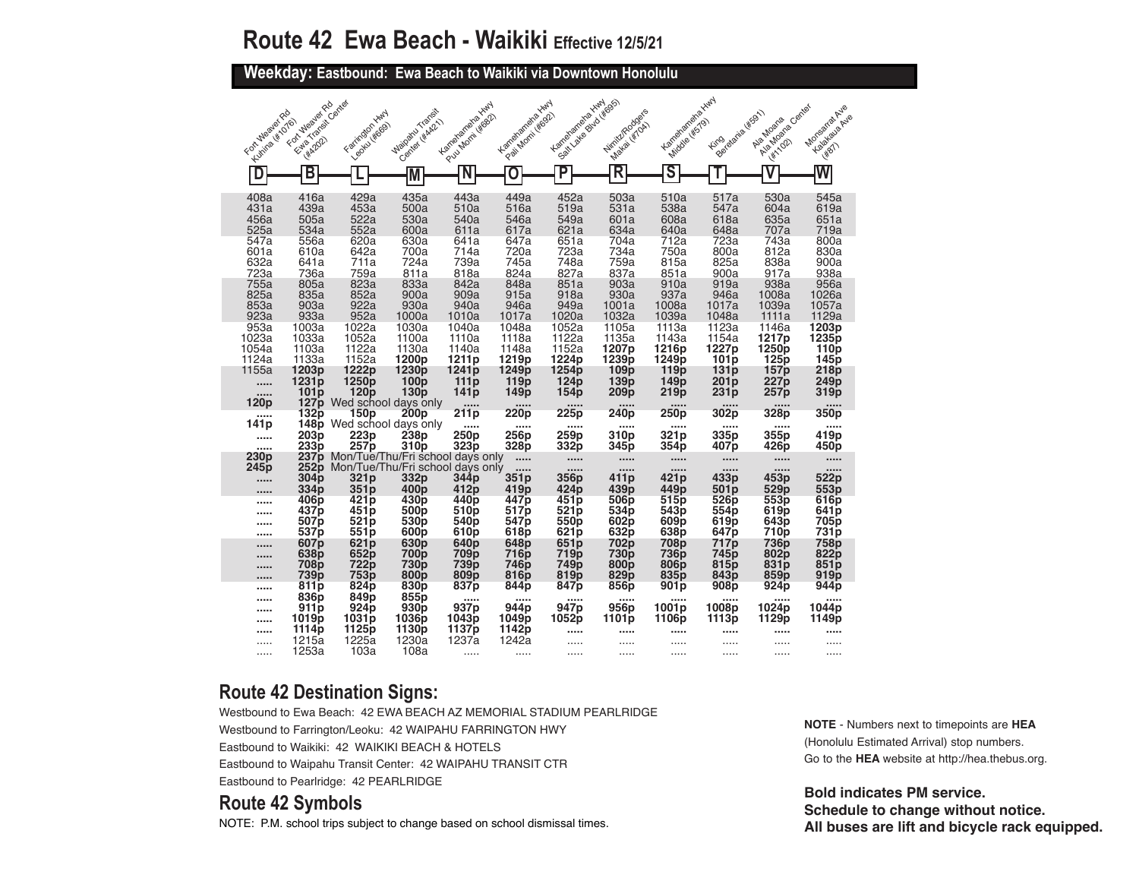**Weekday: Eastbound: Ewa Beach to Waikiki via Downtown Honolulu** 

| For Mealer Rd<br>Kumra (#1076)       | Etab Transit Center<br>Fortulasier Rd                | Faringon Hwy<br>Leoku Heges)          | Maizaru Transit<br>Center Hitch221                                   | Kenterandreakwy<br>Pul Monti Wes2            | Kanahanana IIIII<br>Pai Monti Irosh                   | Kanelangra Yury<br>Soalt value data despot | Nimit/Rodge's<br>Makai (#TOA)               | Karrehanana XIIII<br>Middle (#579)          | Beiderata (#591)<br><b>Fing</b>            | Alexandera Center<br>Ala Moaria            | Morsaria Ave<br>Kalakalia Avie                       |
|--------------------------------------|------------------------------------------------------|---------------------------------------|----------------------------------------------------------------------|----------------------------------------------|-------------------------------------------------------|--------------------------------------------|---------------------------------------------|---------------------------------------------|--------------------------------------------|--------------------------------------------|------------------------------------------------------|
| D                                    | <b>482021</b><br>B                                   |                                       |                                                                      | N                                            | Ō                                                     | P                                          | R                                           | $\overline{\mathsf{s}}$                     |                                            | <b>HATIOR</b>                              | <b>HBT</b><br>W                                      |
|                                      |                                                      |                                       | M                                                                    |                                              |                                                       |                                            |                                             |                                             |                                            |                                            |                                                      |
| 408a<br>431a<br>456a<br>525a         | 416a<br>439a<br>505a<br>534a                         | 429a<br>453a<br>522a<br>552a          | 435a<br>500a<br>530a<br>600a                                         | 443a<br>510a<br>540a<br>611a                 | 449a<br>516a<br>546a<br>617a                          | 452a<br>519a<br>549a<br>621a               | 503a<br>531a<br>601a<br>634a                | 510a<br>538a<br>608a<br>640a                | 517a<br>547a<br>618a<br>648a               | 530a<br>604a<br>635a<br>707a               | 545a<br>619a<br>651a<br>719a                         |
| 547a<br>601a<br>632a<br>723a         | 556a<br>610a<br>641a<br>736a                         | 620a<br>642a<br>711a<br>759a          | 630a<br>700a<br>724a<br>811a                                         | 641a<br>714a<br>739a<br>818a                 | 647a<br>720a<br>745a<br>824a                          | 651a<br>723a<br>748a<br>827a               | 704a<br>734a<br>759a<br>837a                | 712a<br>750a<br>815a<br>851a                | 723a<br>800a<br>825a<br>900a               | 743a<br>812a<br>838a<br>917a               | 800a<br>830a<br>900a<br>938a                         |
| 755a<br>825a<br>853a<br>923a<br>953a | 805a<br>835a<br>903a<br>933a<br>1003a                | 823a<br>852a<br>922a<br>952a<br>1022a | 833a<br>900a<br>930a<br>1000a<br>1030a                               | 842a<br>909a<br>940a<br>1010a<br>1040a       | 848a<br>915a<br>946a<br>1017a                         | 851a<br>918a<br>949a<br>1020a<br>1052a     | 903a<br>930a<br>1001a<br>1032a              | 910a<br>937a<br>1008a<br>1039a<br>1113a     | 919a<br>946a<br>1017a<br>1048a<br>1123a    | 938a<br>1008a<br>1039a<br>1111a<br>1146a   | 956a<br>1026a<br>1057a<br>1129a<br>1203 <sub>p</sub> |
| 1023a<br>1054a<br>1124a<br>1155a     | 1033a<br>1103a<br>1133a<br>1203p                     | 1052a<br>1122a<br>1152a<br>1222p      | 1100a<br>1130a<br>1200 <sub>p</sub><br>1230p                         | 1110a<br>1140a<br>1211 <sub>p</sub><br>1241p | 1048a<br>1118a<br>1148a<br>1219p<br>1249 <sub>p</sub> | 1122a<br>1152a<br>1224p<br>1254p           | 1105a<br>1135a<br>1207p<br>1239p            | 1143a<br>1216p<br>1249p<br>119 <sub>p</sub> | 1154a<br>1227p<br>101 <sub>p</sub><br>131p | 1217p<br>1250 <sub>p</sub><br>125p<br>157p | 1235p<br>110 <sub>p</sub><br>145p<br>218p            |
| <br><br>120p                         | 1231p<br>101 <sub>p</sub><br>127 <sub>p</sub>        | 1250p<br>120 <sub>p</sub>             | 100p<br>130 <sub>p</sub><br>Wed school days only                     | 111p<br>141 <sub>p</sub><br>$\cdots$         | 119p<br>149p<br>                                      | 124 <sub>p</sub><br>154p<br>1.1.1.1        | 109p<br>139 <sub>p</sub><br>209p<br>1.1.1.1 | 149p<br>219p<br>1.1.1.1                     | 201p<br>231p<br>1.1.1.1                    | 227p<br>257p                               | 249p<br>319p                                         |
| <br>141 <sub>p</sub><br><br>1.1.1.1  | 132p<br>148p<br>203 <sub>p</sub><br>233 <sub>p</sub> | 150p<br>223 <sub>p</sub><br>257p      | 200p<br>Wed school days only<br>238p<br>310 <sub>p</sub>             | 211p<br><br>250 <sub>p</sub><br>323p         | 220p<br><br>256p<br>328p                              | 225p<br><br>259 <sub>p</sub><br>332p       | 240p<br><br>310 <sub>p</sub><br>345p        | 250p<br><br>321p<br>354p                    | 302p<br><br>335 <sub>p</sub><br>407p       | 328p<br><br>355p<br>426p                   | 350p<br><br>419 <sub>p</sub><br>450p                 |
| 230p<br>245p                         | 237 <sub>p</sub><br>252p                             |                                       | Mon/Tue/Thu/Fri school days only<br>Mon/Tue/Thu/Fri school days only |                                              | <br>                                                  | $\cdots$<br>                               | <br>                                        | 1.1.1.1                                     | <br>                                       | <br>                                       |                                                      |
| <br>                                 | 304 <sub>p</sub><br>334p                             | 321 <sub>p</sub><br>351p              | 332p<br>400 <sub>p</sub>                                             | 344p<br>412p                                 | 351p<br>419p                                          | 356p<br>424p                               | 411p<br>439p                                | 421 <sub>p</sub><br>449p                    | 433p<br>501p                               | 453p<br>529p                               | 522p<br>553p                                         |
|                                      | 406p<br>437p<br>507p                                 | 421p<br>451 p<br>521 <sub>p</sub>     | 430p<br>500 <sub>p</sub>                                             | 440p<br>510p                                 | 447p<br>517p<br>547 <sub>p</sub>                      | 451 <sub>p</sub><br>521 <sub>p</sub>       | 506p<br>534p                                | 515p<br>543p                                | 526p<br>554p                               | 553p<br>619p                               | 616p<br>641 <sub>p</sub>                             |
|                                      | 537p                                                 | 551p                                  | 530 <sub>p</sub><br>600 <sub>p</sub>                                 | 540p<br>610 <sub>p</sub>                     | 618p                                                  | 550p<br>621 <sub>p</sub>                   | 602p<br>632p                                | 609 <sub>p</sub><br>638p                    | 619p<br>647p                               | 643p<br>710 <sub>p</sub>                   | 705p<br>731p                                         |
|                                      | 607 <sub>p</sub><br>638p                             | 621 <sub>p</sub><br>652p              | 630 <sub>p</sub><br>700p                                             | 640p<br><b>709p</b>                          | 648p<br>716p                                          | 651p<br>719p                               | 702p<br>730p                                | 708p<br><b>736p</b>                         | 717p<br>745p                               | 736p<br>802p                               | 758p<br>822p                                         |
| <br>                                 | 708p<br>739p                                         | 722p<br>753p                          | <b>730p</b><br>800 <sub>p</sub>                                      | 739 <sub>p</sub><br>809 <sub>p</sub>         | 746p<br>816 <sub>p</sub>                              | 749p<br>819 <sub>p</sub>                   | 800 <sub>p</sub><br>829 <sub>p</sub>        | 806 <sub>p</sub><br>835p                    | 815p<br>843p                               | 831p<br>859 <sub>p</sub>                   | 851 <sub>p</sub><br>919 <sub>p</sub>                 |
| <br>                                 | 811 <sub>p</sub><br>836 <sub>p</sub>                 | 824p<br>849p                          | 830p<br>855 <sub>p</sub>                                             | 837p<br>                                     | 844p                                                  | 847 <sub>p</sub>                           | 856p<br>                                    | 901p                                        | 908p<br>                                   | 924p                                       | 944 <sub>p</sub>                                     |
|                                      | 911p                                                 | 924p                                  | 930p                                                                 | 937 <sub>p</sub>                             | 944 <sub>p</sub>                                      | 947p                                       | 956p                                        | 1001 <sub>p</sub>                           | 1008p                                      | 1024p                                      | 1044p                                                |
| <br>                                 | 1019p<br>1114p                                       | 1031p<br>1125p                        | 1036p<br>1130p                                                       | 1043p<br>1137p                               | 1049p<br>1142p                                        | 1052p                                      | 1101p                                       | 1106p                                       | 1113p                                      | 1129p                                      | 1149p                                                |
| .                                    | 1215a                                                | 1225a                                 | 1230a                                                                | 1237a                                        | 1242a                                                 | .                                          | .                                           |                                             | .                                          | .                                          |                                                      |
| .                                    | 1253a                                                | 103a                                  | 108a                                                                 |                                              |                                                       |                                            |                                             |                                             |                                            | .                                          |                                                      |

### **Route 42 Destination Signs:**

Westbound to Ewa Beach: 42 EWA BEACH AZ MEMORIAL STADIUM PEARLRIDGE Westbound to Farrington/Leoku: 42 WAIPAHU FARRINGTON HWY Eastbound to Waikiki: 42 WAIKIKI BEACH & HOTELS Eastbound to Waipahu Transit Center: 42 WAIPAHU TRANSIT CTR Eastbound to Pearlridge: 42 PEARLRIDGE

#### **Route 42 Symbols**

NOTE: P.M. school trips subject to change based on school dismissal times.

**NOTE** - Numbers next to timepoints are **HEA** (Honolulu Estimated Arrival) stop numbers. Go to the **HEA** website at http://hea.thebus.org.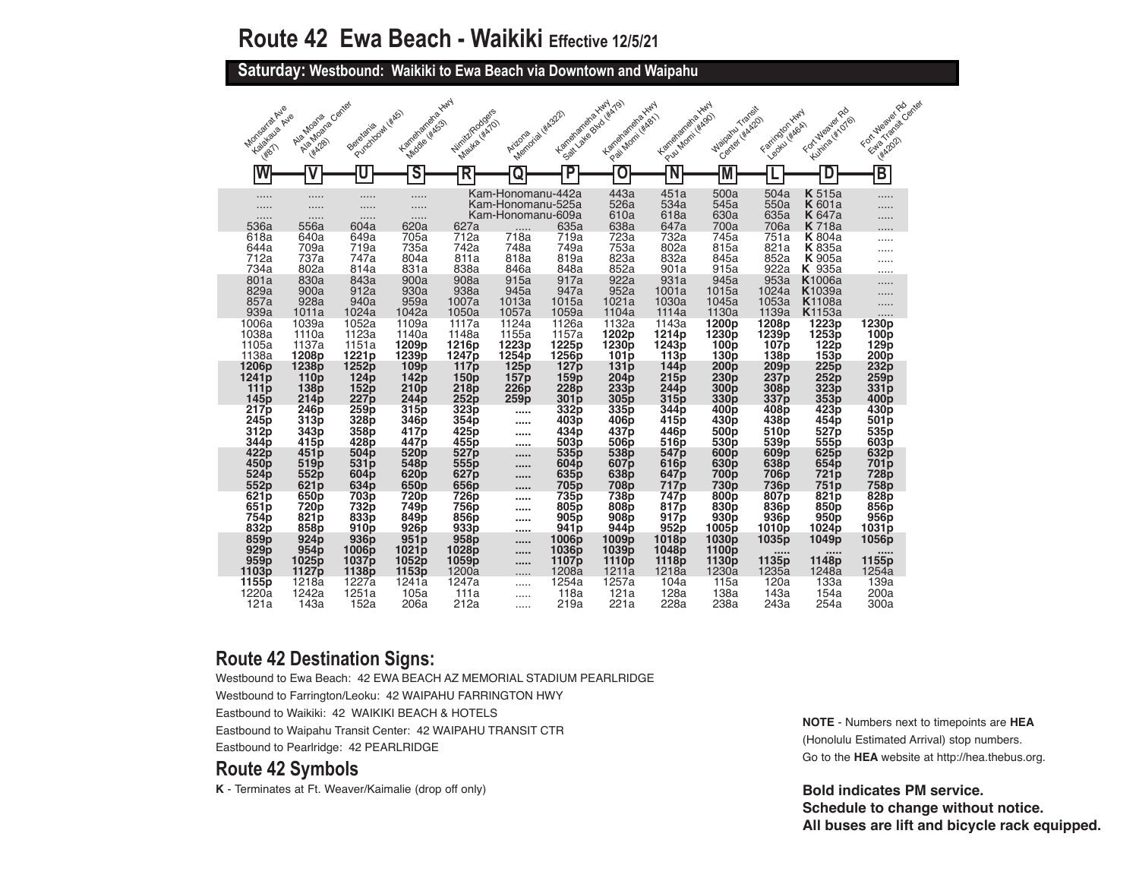**Saturday: Westbound: Waikiki to Ewa Beach via Downtown and Waipahu** 

|                                              |                                               |                                      |                                      |                                        |                                        |                                         |                                          |                                      |                                      |                                      |                                      | For Mealer Rd                         |
|----------------------------------------------|-----------------------------------------------|--------------------------------------|--------------------------------------|----------------------------------------|----------------------------------------|-----------------------------------------|------------------------------------------|--------------------------------------|--------------------------------------|--------------------------------------|--------------------------------------|---------------------------------------|
| Monsartatave<br>Kalakaua Avie<br><b>HP17</b> | Alexanders Centre<br>Ale Moans<br><b>HA28</b> | Purddhowl (KAS)<br>Beretaria         | Kanalanana IIwy<br>Middle ( KASS)    | Nirritz/Rodgers<br>Mayka (KATO)        | Memorial (#4322)<br>Arizona            | Lamelaneme Hwy<br>Soalt Lake Blvd Watal | La registrate de Hund<br>Pai Momi (KABI) | Kamelangha Yuny<br>Pull Morni (#ASO) | Majoaku Transit<br>Center Hidrop     | Farrington Hwy<br>Leonu (#AGA)       | Fort Mealer Rd<br>Kumra (#1076)      | Ethio Transit Cantar<br><b>HARDED</b> |
|                                              |                                               |                                      | S                                    | R                                      |                                        | Ρ                                       | O                                        | N                                    |                                      |                                      |                                      | $\overline{\mathsf{B}}$               |
| .                                            | .                                             | .                                    | .                                    |                                        | Kam-Honomanu-442a<br>Kam-Honomanu-525a |                                         | 443a<br>526a                             | 451a<br>534a                         | 500a<br>545a                         | 504a<br>550a                         | <b>K</b> 515a<br><b>K</b> 601a       | .                                     |
| .                                            | .<br>                                         | .                                    | .<br>.                               |                                        | Kam-Honomanu-609a                      |                                         | 610a                                     | 618a                                 | 630a                                 | 635a                                 | <b>K</b> 647a                        | .                                     |
| 536a                                         | 556a                                          | 604a                                 | 620a                                 | 627a                                   |                                        | 635a                                    | 638a                                     | 647a                                 | 700a                                 | 706a                                 | <b>K</b> 718a                        |                                       |
| 618a<br>644a                                 | 640a<br>709a                                  | 649a<br>719a                         | 705a<br>735a                         | 712a<br>742a                           | 718a<br>748a                           | 719a<br>749a                            | 723a<br>753a                             | 732a<br>802a                         | 745a<br>815a                         | 751a<br>821a                         | <b>K</b> 804a<br><b>K</b> 835a       |                                       |
| 712a                                         | 737a                                          | 747a                                 | 804a                                 | 811a                                   | 818a                                   | 819a                                    | 823a                                     | 832a                                 | 845a                                 | 852a                                 | <b>K</b> 905a                        |                                       |
| 734a                                         | 802a                                          | 814a                                 | 831a                                 | 838a                                   | 846a                                   | 848a                                    | 852a                                     | 901a                                 | 915a                                 | 922a                                 | <b>K</b> 935a                        |                                       |
| 801a                                         | 830a                                          | 843a                                 | 900a                                 | 908a                                   | 915a                                   | 917a                                    | 922a                                     | 931a                                 | 945a                                 | 953a                                 | K <sub>1006a</sub>                   | .                                     |
| 829a<br>857a                                 | 900a<br>928a                                  | 912a<br>940a                         | 930a<br>959a                         | 938a<br>1007a                          | 945a<br>1013a                          | 947a<br>1015a                           | 952a<br>1021a                            | 1001a<br>1030a                       | 1015a<br>1045a                       | 1024a<br>1053a                       | K <sub>1039a</sub><br><b>K</b> 1108a |                                       |
| 939a                                         | 1011a                                         | 1024a                                | 1042a                                | 1050a                                  | 1057a                                  | 1059a                                   | 1104a                                    | 1114a                                | 1130a                                | 1139a                                | <b>K</b> 1153a                       | .                                     |
| 1006a                                        | 1039a                                         | 1052a                                | 1109a                                | 1117a                                  | 1124a                                  | 1126a                                   | 1132a                                    | 1143a                                | 1200p                                | 1208p                                | 1223p                                | 1230p                                 |
| 1038a                                        | 1110a                                         | 1123a                                | 1140a                                | 1148a                                  | 1155a                                  | 1157a                                   | 1202p                                    | 1214 <sub>p</sub>                    | 1230 <sub>p</sub>                    | 1239 <sub>p</sub>                    | 1253 <sub>p</sub>                    | 100p                                  |
| 1105a<br>1138a                               | 1137a<br>1208 <sub>p</sub>                    | 1151a<br>1221 <sub>p</sub>           | 1209p<br>1239 <sub>p</sub>           | 1216 <sub>p</sub><br>1247 <sub>p</sub> | 1223 <sub>p</sub><br>1254 <sub>p</sub> | 1225p<br>1256 <sub>p</sub>              | 1230 <sub>p</sub><br>101p                | 1243 <sub>p</sub><br>113p            | 100 <sub>p</sub><br>130 <sub>p</sub> | 107 <sub>p</sub><br>138 <sub>p</sub> | 122p<br>153 <sub>p</sub>             | 129p<br>200 <sub>p</sub>              |
| 1206 <sub>p</sub>                            | 1238 <sub>p</sub>                             | 1252p                                | 109 <sub>p</sub>                     | 117p                                   | 125p                                   | 127 <sub>p</sub>                        | 131 p                                    | 144p                                 | 200 p                                | 209 <sub>p</sub>                     | 225p                                 | 232p                                  |
| 1241 <sub>p</sub>                            | 110p                                          | 124 <sub>p</sub>                     | 142p                                 | 150p                                   | 157p                                   | 159p                                    | 204p                                     | 215p                                 | 230p                                 | 237 <sub>p</sub>                     | 252p                                 | 259p                                  |
| 111p                                         | <b>138p</b>                                   | 152p                                 | 210p                                 | 218p                                   | <b>226p</b>                            | <b>228p</b>                             | 233 <sub>p</sub>                         | 244 p                                | 300 <sub>p</sub>                     | 308 <sub>p</sub>                     | 323 <sub>p</sub>                     | 331p                                  |
| 145 <sub>p</sub><br>217 <sub>p</sub>         | 214p<br><b>246p</b>                           | 227p<br>259p                         | 244 <sub>p</sub><br>315 <sub>p</sub> | 252p<br>323p                           | 259p                                   | 301 p<br>332p                           | 305 <sub>p</sub><br>335 <sub>p</sub>     | 315p<br>344 <sub>p</sub>             | 330 <sub>p</sub><br>400 <sub>p</sub> | 337 <sub>p</sub><br>408p             | 353 <sub>p</sub><br>423p             | 400 <sub>p</sub><br>430p              |
| 245p                                         | 313p                                          | 328p                                 | 346p                                 | 354p                                   | <br>                                   | 403p                                    | 406p                                     | 415 <sub>p</sub>                     | 430 <sub>p</sub>                     | 438p                                 | 454 <sub>p</sub>                     | 501p                                  |
| 312p                                         | 343p                                          | 358p                                 | 417 <sub>p</sub>                     | 425p                                   |                                        | 434 <sub>p</sub>                        | 437 <sub>p</sub>                         | 446 <sub>p</sub>                     | 500p                                 | 510 <sub>p</sub>                     | 527p                                 | 535 <sub>p</sub>                      |
| 344 <sub>p</sub>                             | 415 <sub>p</sub>                              | 428p                                 | 447 p                                | 455p                                   |                                        | 503 <sub>p</sub>                        | 506 <sub>p</sub>                         | 516p                                 | 530 <sub>p</sub>                     | 539 <sub>p</sub>                     | 555 <sub>p</sub>                     | 603 <sub>p</sub>                      |
| 422 <sub>p</sub><br>450 <sub>p</sub>         | 451p<br>519 <sub>p</sub>                      | 504 <sub>p</sub><br>531 <sub>p</sub> | 520 <sub>p</sub><br>548 <sub>p</sub> | 527 <sub>p</sub><br>555 <sub>p</sub>   |                                        | 535p<br>604 <sub>p</sub>                | 538 <sub>p</sub><br>607 <sub>p</sub>     | 547 <sub>p</sub><br>616p             | 600 <sub>p</sub><br>630 <sub>p</sub> | 609 <sub>p</sub><br>638 <sub>p</sub> | 625 <sub>p</sub><br>654 <sub>p</sub> | 632p<br>701 <sub>p</sub>              |
| 524p                                         | 552p                                          | 604 <sub>p</sub>                     | 620p                                 | 627p                                   | <br>                                   | 635p                                    | 638p                                     | 647 p                                | 700p                                 | <b>706p</b>                          | 721 <sub>p</sub>                     | 728p                                  |
| 552p                                         | 621 <sub>p</sub>                              | 634p                                 | 650p                                 | 656p                                   |                                        | 705p                                    | <b>708p</b>                              | 717p                                 | <b>730p</b>                          | <b>736p</b>                          | <b>751p</b>                          | 758p                                  |
| 621 <sub>p</sub>                             | 650p                                          | 703p                                 | 720p                                 | 726p                                   |                                        | 735p                                    | 738p                                     | 747 p                                | 800 <sub>p</sub>                     | 807p                                 | 821 <sub>p</sub>                     | 828p                                  |
| 651 <sub>p</sub><br>754 <sub>p</sub>         | <b>720p</b><br>821 <sub>p</sub>               | 732p<br>833p                         | 749 <sub>p</sub><br>849 <sub>p</sub> | 756 <sub>p</sub><br>856p               |                                        | 805 <sub>p</sub><br>905 <sub>p</sub>    | 808 <sub>p</sub><br>908p                 | 817 <sub>p</sub><br>917 <sub>p</sub> | 830 <sub>p</sub><br>930p             | 836 <sub>p</sub><br>936 <sub>p</sub> | 850 <sub>p</sub><br>950p             | 856 <sub>p</sub><br>956 <sub>p</sub>  |
| 832p                                         | 858p                                          | 910 <sub>p</sub>                     | 926 <sub>p</sub>                     | 933p                                   | <br>                                   | 941p                                    | 944 <sub>p</sub>                         | 952p                                 | 1005 <sub>p</sub>                    | 1010 <sub>p</sub>                    | 1024 <sub>p</sub>                    | 1031 <sub>p</sub>                     |
| 859p                                         | 924 <sub>p</sub>                              | 936 <sub>p</sub>                     | 951p                                 | 958p                                   |                                        | 1006p                                   | 1009 <sub>p</sub>                        | 1018p                                | 1030p                                | 1035p                                | 1049p                                | 1056p                                 |
| 929 <sub>p</sub>                             | 954 p                                         | 1006p                                | 1021 p                               | 1028p                                  |                                        | 1036 p                                  | 1039p                                    | 1048p                                | 1100p                                |                                      |                                      |                                       |
| 959p<br>1103 <sub>p</sub>                    | 1025p<br>1127p                                | 1037p<br>1138 <sub>p</sub>           | 1052p<br>1153 <sub>p</sub>           | 1059p<br>1200a                         |                                        | 1107 <sub>p</sub><br>1208a              | 1110 <sub>p</sub><br>1211a               | 1118p<br>1218a                       | 1130p<br>1230a                       | 1135p<br>1235a                       | 1148p<br>1248a                       | 1155p<br>1254a                        |
| 1155 p                                       | 1218a                                         | 1227a                                | 1241a                                | 1247a                                  | .                                      | 1254a                                   | 1257a                                    | 104a                                 | 115a                                 | 120a                                 | 133a                                 | 139a                                  |
| 1220a                                        | 1242a                                         | 1251a                                | 105a                                 | 111a                                   | .                                      | 118a                                    | 121a                                     | 128a                                 | 138a                                 | 143a                                 | 154a                                 | 200a                                  |
| 121a                                         | 143a                                          | 152a                                 | 206a                                 | 212a                                   | .                                      | 219a                                    | 221a                                     | 228a                                 | 238a                                 | 243a                                 | 254a                                 | 300a                                  |

### **Route 42 Destination Signs:**

Westbound to Ewa Beach: 42 EWA BEACH AZ MEMORIAL STADIUM PEARLRIDGE Westbound to Farrington/Leoku: 42 WAIPAHU FARRINGTON HWY Eastbound to Waikiki: 42 WAIKIKI BEACH & HOTELS Eastbound to Waipahu Transit Center: 42 WAIPAHU TRANSIT CTR

Eastbound to Pearlridge: 42 PEARLRIDGE

#### **Route 42 Symbols**

**K** - Terminates at Ft. Weaver/Kaimalie (drop off only)

**NOTE** - Numbers next to timepoints are **HEA** (Honolulu Estimated Arrival) stop numbers. Go to the **HEA** website at http://hea.thebus.org.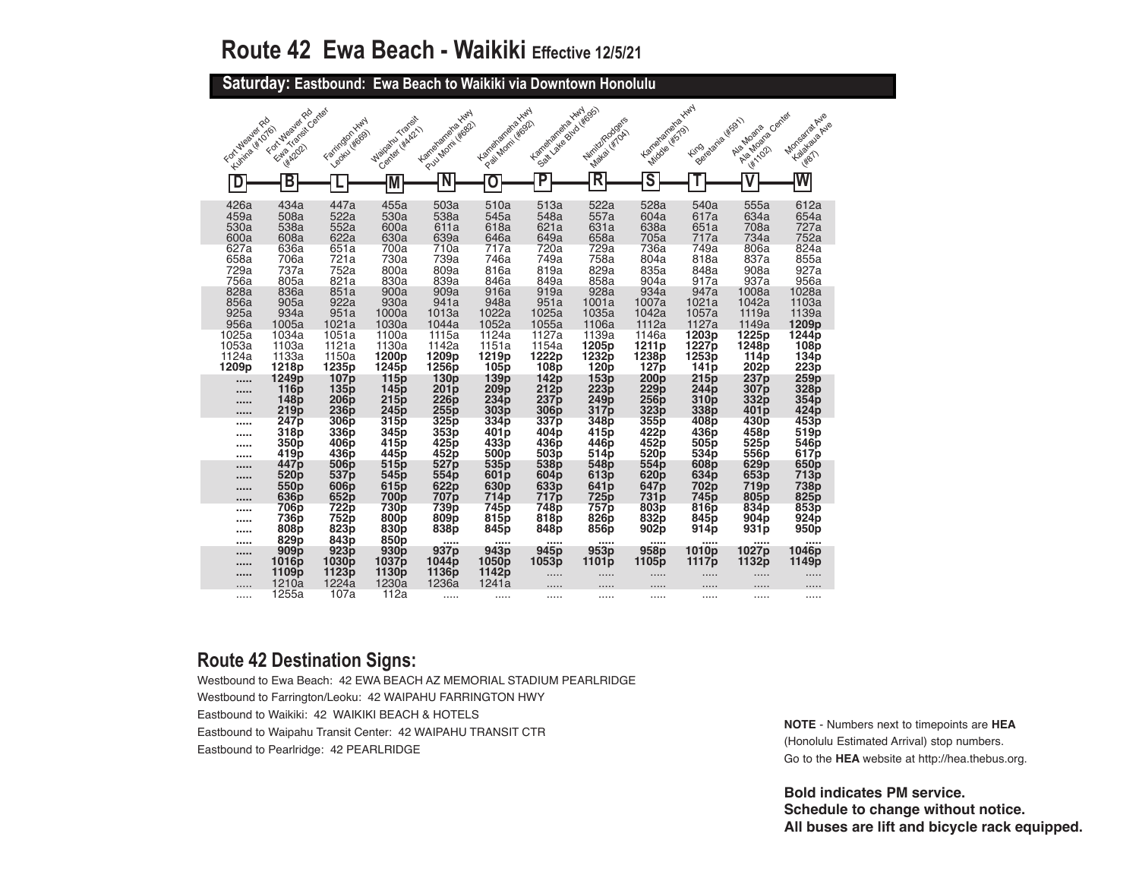**Saturday: Eastbound: Ewa Beach to Waikiki via Downtown Honolulu** 

| Fort Wealer Rd                   | Etab Transit Cantac<br>For Wealer Rd                             | Farington Hwy                                           | Maioaru Traceit                                                                 | Lamenanena Hwy                                          | Lamelaneme Hwy                                          | Kanahanana Hury<br>Solt Lake Buddetas                            | Winite Rodges                                        | Kamelanena Hwy                                                   |                                                              | Algeboare Center                                             | MonsartatAve                                          |
|----------------------------------|------------------------------------------------------------------|---------------------------------------------------------|---------------------------------------------------------------------------------|---------------------------------------------------------|---------------------------------------------------------|------------------------------------------------------------------|------------------------------------------------------|------------------------------------------------------------------|--------------------------------------------------------------|--------------------------------------------------------------|-------------------------------------------------------|
| Kuhira (#1076)                   | <b>HA2021</b>                                                    | Leoku Higgs                                             | Center (WAR2)                                                                   | Pul Mont Wes2)                                          | Pail Mont Wag2)                                         |                                                                  | <b>Matai</b> Witow                                   | <b>Middle (#579)</b>                                             | Beieteria W5911<br><b>Fing</b>                               | Ala Moana<br><b>WA102</b>                                    | Kalakalapa Ave<br><b>H87</b>                          |
| D                                | В                                                                |                                                         |                                                                                 | N                                                       | O                                                       | P                                                                | $\overline{\mathsf{R}}$                              | $\overline{\mathsf{s}}$                                          |                                                              |                                                              | W                                                     |
| 426a<br>459a<br>530a<br>600a     | 434a<br>508a<br>538a<br>608a                                     | 447a<br>522a<br>552a<br>622a                            | 455a<br>530a<br>600a<br>630a                                                    | 503a<br>538a<br>611a<br>639a                            | 510a<br>545a<br>618a<br>646a                            | 513a<br>548a<br>621a<br>649a                                     | 522a<br>557a<br>631a<br>658a                         | 528a<br>604a<br>638a<br>705a                                     | 540a<br>617a<br>651a<br>717a                                 | 555a<br>634a<br>708a<br>734a                                 | 612a<br>654a<br>727a<br>752a                          |
| 627a<br>658a<br>729a<br>756a     | 636a<br>706a<br>737a<br>805a                                     | 651a<br>721a<br>752a<br>821a                            | 700a<br>730a<br>800a<br>830a                                                    | 710a<br>739a<br>809a<br>839a                            | 717a<br>746a<br>816a<br>846a                            | 720a<br>749a<br>819a<br>849a                                     | 729a<br>758a<br>829a<br>858a                         | 736a<br>804a<br>835a<br>904a                                     | 749a<br>818a<br>848a<br>917a                                 | 806a<br>837a<br>908a<br>937a                                 | 824a<br>855a<br>927a<br>956a                          |
| 828a<br>856a<br>925a<br>956a     | 836a<br>905a<br>934a<br>1005a                                    | 851a<br>922a<br>951a<br>1021a                           | 900a<br>930a<br>1000a<br>1030a                                                  | 909a<br>941a<br>1013a<br>1044a                          | 916a<br>948a<br>1022a<br>1052a                          | 919a<br>951a<br>1025a<br>1055a                                   | 928a<br>1001a<br>1035a<br>1106a                      | 934a<br>1007a<br>1042a<br>1112a                                  | 947a<br>1021a<br>1057a<br>1127a                              | 1008a<br>1042a<br>1119a<br>1149a                             | 1028a<br>1103a<br>1139a<br>1209p                      |
| 1025a<br>1053a<br>1124a<br>1209p | 1034a<br>1103a<br>1133a<br>1218p                                 | 1051a<br>1121a<br>1150a<br>1235p                        | 1100a<br>1130a<br>1200 <sub>p</sub><br>1245 <sub>p</sub>                        | 1115a<br>1142a<br>1209p<br>1256 <sub>p</sub>            | 1124a<br>1151a<br>1219p<br>105p                         | 1127a<br>1154a<br>1222p<br>108 <sub>b</sub>                      | 1139a<br>1205 <sub>p</sub><br>1232p<br>120p          | 1146a<br>1211 <sub>p</sub><br>1238p<br>127 <sub>p</sub>          | 1203p<br>1227p<br>1253p<br>141 <sub>p</sub>                  | 1225p<br>1248 <sub>p</sub><br>114 <sub>p</sub><br>202p       | 1244p<br>108 <sub>p</sub><br>134 <sub>p</sub><br>223p |
| <br><br>11111                    | 1249 <sub>p</sub><br>116 <sub>p</sub><br>148p<br>219p            | 107p<br>135p<br>206 <sub>p</sub><br>236 <sub>p</sub>    | 115 <sub>p</sub><br>145 <sub>p</sub><br>215p<br>245p                            | 130 <sub>p</sub><br>201 <sub>p</sub><br>226p<br>255p    | 139p<br>209p<br>234p<br>303p                            | 142 <sub>p</sub><br>212p<br>237 <sub>p</sub><br>306 <sub>p</sub> | 153p<br>223p<br>249 <sub>p</sub><br>317p             | 200 <sub>p</sub><br>229p<br>256p<br>323 <sub>p</sub>             | 215p<br>244 <sub>p</sub><br>310 <sub>p</sub><br>338p         | 237p<br>307 <sub>p</sub><br>332p<br>401 <sub>p</sub>         | 259p<br>328p<br>354p<br>424p                          |
| <br>                             | 247 <sub>p</sub><br>318 <sub>p</sub><br>350 <sub>p</sub><br>419p | 306p<br>336p<br>406 <sub>p</sub><br>436 <sub>p</sub>    | 315p<br>345 <sub>p</sub><br>415p<br>445 <sub>p</sub>                            | 325p<br>353p<br>425p<br>452p                            | 334p<br>401 <sub>p</sub><br>433p<br>500 <sub>p</sub>    | 337p<br>404p<br>436 <sub>p</sub><br>503 <sub>p</sub>             | 348p<br>415p<br>446 <sub>p</sub><br>514p             | 355p<br>422p<br>452p<br>520p                                     | 408p<br>436p<br>505 <sub>p</sub><br>534p                     | 430p<br>458p<br>525p<br>556p                                 | 453p<br>519 <sub>p</sub><br>546 <sub>p</sub><br>617p  |
| <br><br>                         | 447 <sub>p</sub><br>520 <sub>p</sub><br>550 <sub>p</sub><br>636p | 506p<br>537 <sub>p</sub><br>606p<br>652p                | 515 <sub>p</sub><br>545 <sub>p</sub><br>615 <sub>p</sub><br><b>700p</b><br>730p | 527p<br>554 <sub>p</sub><br>622p<br>707p<br>739p        | 535 <sub>p</sub><br>601p<br>630p<br>714p<br>745p        | 538p<br>604 <sub>p</sub><br>633p<br>717 <sub>p</sub><br>748p     | 548p<br>613p<br>641 <sub>p</sub><br>725 <sub>p</sub> | 554p<br>620 <sub>p</sub><br>647 <sub>p</sub><br>731 <sub>p</sub> | 608p<br>634 <sub>p</sub><br>702p<br>745 <sub>p</sub><br>816p | 629p<br>653 <sub>p</sub><br>719 <sub>p</sub><br>805p<br>834p | 650 <sub>p</sub><br>713p<br>738p<br>825p<br>853p      |
| <br>                             | 706p<br>736 <sub>p</sub><br>808p<br>829 <sub>p</sub>             | 722p<br>752 <sub>p</sub><br>823p<br>843p                | 800 <sub>p</sub><br>830p<br>850 <sub>p</sub>                                    | 809 <sub>p</sub><br>838p<br>$\cdots$                    | 815 <sub>p</sub><br>845p<br>                            | 818p<br>848p<br>1.1.1.1                                          | 757p<br>826p<br>856p<br>1.1.1.1                      | 803p<br>832p<br>902p<br>1.1.1.1                                  | 845p<br>914p<br>                                             | 904 <sub>p</sub><br>931p<br>                                 | 924 <sub>p</sub><br>950p<br>                          |
| 1.1111                           | 909 <sub>p</sub><br>1016 <sub>p</sub><br>1109p<br>1210a          | 923 <sub>p</sub><br>1030 <sub>p</sub><br>1123p<br>1224a | 930 <sub>p</sub><br>1037 <sub>p</sub><br>1130p<br>1230a                         | 937 <sub>p</sub><br>1044 <sub>p</sub><br>1136p<br>1236a | 943 <sub>p</sub><br>1050 <sub>p</sub><br>1142p<br>1241a | 945 <sub>p</sub><br>1053p<br>.<br>.                              | 953 <sub>p</sub><br>1101p<br>.<br>.                  | 958p<br>1105p                                                    | 1010p<br>1117p<br>.                                          | 1027 <sub>p</sub><br>1132p<br>.<br>.                         | 1046p<br>1149p<br>.<br>$\cdots$                       |
|                                  | 1255a                                                            | 107a                                                    | 112a                                                                            |                                                         |                                                         |                                                                  | .                                                    |                                                                  | .                                                            |                                                              |                                                       |

### **Route 42 Destination Signs:**

Westbound to Ewa Beach: 42 EWA BEACH AZ MEMORIAL STADIUM PEARLRIDGE Westbound to Farrington/Leoku: 42 WAIPAHU FARRINGTON HWY Eastbound to Waikiki: 42 WAIKIKI BEACH & HOTELS Eastbound to Waipahu Transit Center: 42 WAIPAHU TRANSIT CTR Eastbound to Pearlridge: 42 PEARLRIDGE

**NOTE** - Numbers next to timepoints are **HEA** (Honolulu Estimated Arrival) stop numbers. Go to the **HEA** website at http://hea.thebus.org.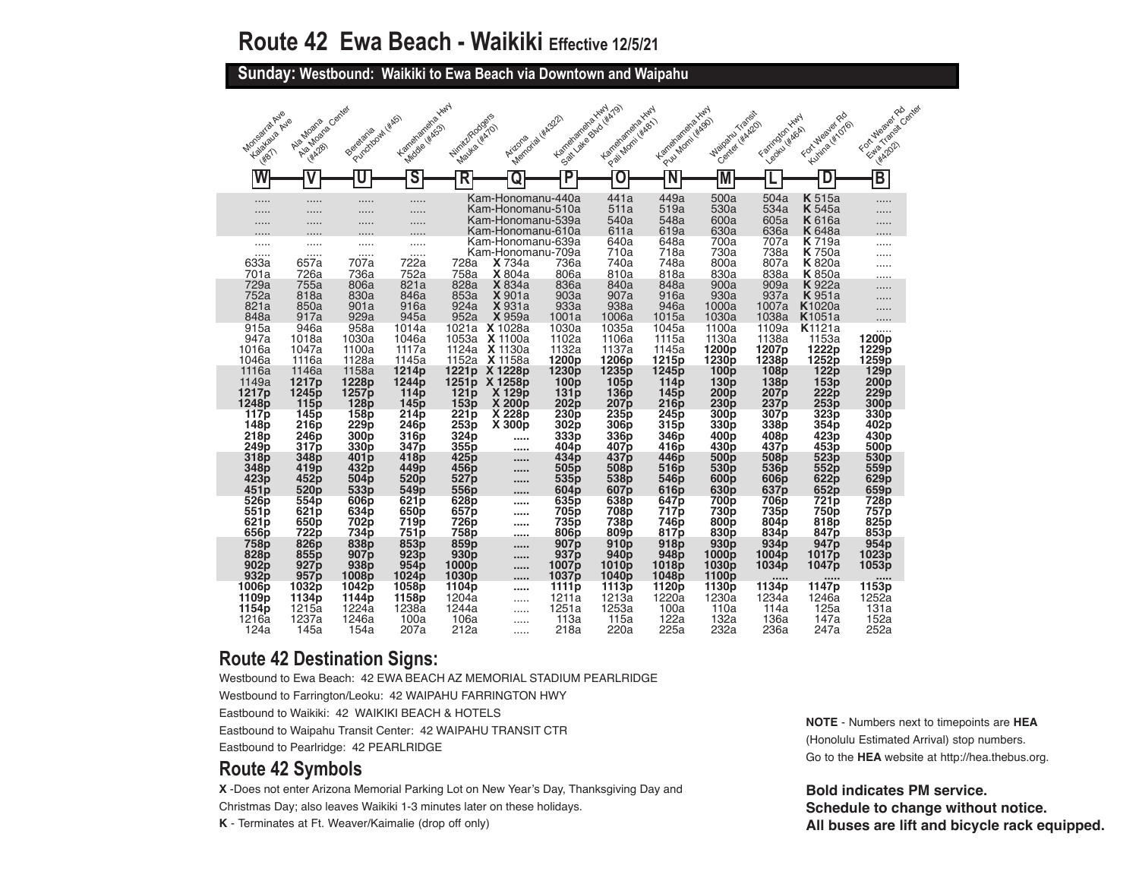**Sunday: Westbound: Waikiki to Ewa Beach via Downtown and Waipahu** 

| Monsartat Ave<br>Kalakaua Avie<br><b>WBT</b>         | Ala Moara Cantas<br>Ala Moana<br><b>HA28</b>                | Punchoowl (*kg)<br>Berefania                                                 | Karrelamente Xwy<br>Middle ( KASS)                                 | NiriikiRodgers<br>Mayka (Kizio)                                    | Memorial Hickory<br>Arizona                                                      | Kanelanana Xwy                                                   | Solt Lake Blvd (#AT9)<br>Langlangrand<br>P.e. Montiversity       | Lamelaneme Hwy<br>Pull Morni (#Ago)                                | Watoaru Transit<br>Center Hikken                                  | Farington Hwy<br>Legitul KkAGA)                                  | Fortuleaier Rd<br>Kuning ( W 1016)                                     | FortuNealer Rd<br>Estate Transit Cantar<br><b>WA2021</b> |
|------------------------------------------------------|-------------------------------------------------------------|------------------------------------------------------------------------------|--------------------------------------------------------------------|--------------------------------------------------------------------|----------------------------------------------------------------------------------|------------------------------------------------------------------|------------------------------------------------------------------|--------------------------------------------------------------------|-------------------------------------------------------------------|------------------------------------------------------------------|------------------------------------------------------------------------|----------------------------------------------------------|
|                                                      |                                                             | U                                                                            | S                                                                  | R                                                                  | Q                                                                                | P                                                                |                                                                  |                                                                    |                                                                   |                                                                  |                                                                        | $\overline{\mathsf{B}}$                                  |
| .<br>.                                               | .<br>.<br>.                                                 | .<br>.<br>.                                                                  | .<br>.<br>.                                                        |                                                                    | Kam-Honomanu-440a<br>Kam-Honomanu-510a<br>Kam-Honomanu-539a<br>Kam-Honomanu-610a |                                                                  | 441a<br>511a<br>540a<br>611a                                     | 449a<br>519a<br>548a<br>619a                                       | 500a<br>530a<br>600a<br>630a                                      | 504a<br>534a<br>605a<br>636a                                     | <b>K</b> 515a<br><b>K</b> 545a<br><b>K</b> 616a<br><b>K</b> 648a       | .                                                        |
| .<br>.<br>633a<br>701a                               | .<br>.<br>657a<br>726a                                      | <br><br>707a<br>736a                                                         | .<br>.<br>722a<br>752a                                             | 728a<br>758a                                                       | Kam-Honomanu-639a<br>Kam-Honomanu-709a<br><b>X</b> 734a<br>X 804a                | 736a<br>806a                                                     | 640a<br>710a<br>740a<br>810a                                     | 648a<br>718a<br>748a<br>818a                                       | 700a<br>730a<br>800a<br>830a                                      | 707a<br>738a<br>807a<br>838a                                     | <b>K</b> 719a<br><b>K</b> 750a<br><b>K</b> 820a<br><b>K</b> 850a       | .                                                        |
| 729a<br>752a<br>821a<br>848a                         | 755a<br>818a<br>850a<br>917a                                | 806a<br>830a<br>901a<br>929a                                                 | 821a<br>846a<br>916a<br>945a                                       | 828a<br>853a<br>924a<br>952a                                       | <b>X</b> 834a<br><b>X</b> 901a<br><b>X</b> 931a<br>X 959a                        | 836a<br>903a<br>933a<br>1001a                                    | 840a<br>907a<br>938a<br>1006a                                    | 848a<br>916a<br>946a<br>1015a                                      | 900a<br>930a<br>1000a<br>1030a                                    | 909a<br>937a<br>1007a<br>1038a                                   | <b>K</b> 922a<br><b>K</b> 951a<br>K <sub>1020a</sub><br><b>K</b> 1051a | .<br>.<br>.                                              |
| 915a<br>947a<br>1016a<br>1046a                       | 946a<br>1018a<br>1047a<br>1116a                             | 958a<br>1030a<br>1100a<br>1128a                                              | 1014a<br>1046a<br>1117a<br>1145a                                   | 1053a<br>1124a<br>1152a                                            | 1021a X 1028a<br>X 1100a<br>X 1130a<br>X 1158a                                   | 1030a<br>1102a<br>1132a<br>1200 <sub>p</sub>                     | 1035a<br>1106a<br>1137a<br>1206p                                 | 1045a<br>1115a<br>1145a<br>1215 <sub>p</sub>                       | 1100a<br>1130a<br>1200 <sub>p</sub><br>1230 <sub>p</sub>          | 1109a<br>1138a<br>1207p<br>1238 <sub>p</sub>                     | K <sub>1121a</sub><br>1153a<br>1222p<br>1252p                          | 1200 <sub>p</sub><br>1229p<br>1259p                      |
| 1116a<br>1149a<br>1217p<br>1248p                     | 1146a<br>1217p<br>1245 p<br>115p                            | 1158a<br>1228p<br>1257 <sub>p</sub><br>128p                                  | 1214p<br>1244 <sub>p</sub><br>114 <sub>p</sub><br>145 <sub>p</sub> | 1221 <sub>p</sub><br>1251p<br>121p<br>153p                         | X 1228p<br>X 1258p<br>X 129p<br>X 200 <sub>p</sub>                               | 1230 <sub>p</sub><br>100 <sub>p</sub><br>131p<br>202p            | 1235 p<br>105p<br>136p<br>207 p                                  | 1245 <sub>p</sub><br>114p<br>145 <sub>p</sub><br>216p              | 100 <sub>p</sub><br>130p<br>200 p<br>230p                         | 108 <sub>p</sub><br>138p<br>207 p<br>237p                        | 122p<br>153p<br>222p<br>253p                                           | 129p<br>200p<br>229p<br>300 <sub>p</sub>                 |
| 117 <sub>p</sub><br>148 <sub>p</sub><br>218p<br>249p | 145 <sub>p</sub><br><b>216p</b><br>246 <sub>p</sub><br>317p | <b>158p</b><br>229p<br>300 <sub>p</sub><br>330 <sub>p</sub>                  | 214 <sub>p</sub><br>246p<br>316p<br>347p                           | 221p<br>253p<br>324p<br>355p                                       | X 228 <sub>p</sub><br>X 300p<br><br>                                             | 230 <sub>p</sub><br>302p<br>333 <sub>p</sub><br>404 <sub>p</sub> | 235 <sub>p</sub><br>306 <sub>p</sub><br>336 <sub>p</sub><br>407p | 245 <sub>p</sub><br>315 <sub>p</sub><br>346 <sub>p</sub><br>416p   | 300 <sub>p</sub><br>330 <sub>p</sub><br>400 <sub>p</sub><br>430p  | 307 <sub>p</sub><br>338p<br>408p<br>437p                         | 323 <sub>p</sub><br>354p<br>423p<br>453p                               | 330 <sub>p</sub><br>402p<br>430p<br>500p                 |
| 318p<br>348 <sub>p</sub><br>423 <sub>p</sub><br>451p | 348p<br>419 <sub>p</sub><br>452p<br>520 <sub>p</sub>        | 401 <sub>p</sub><br>432 <sub>p</sub><br>504 <sub>p</sub><br>533 <sub>p</sub> | 418p<br>449p<br>520p<br>549 <sub>p</sub>                           | 425p<br>456 <sub>p</sub><br>527 <sub>p</sub><br>556 <sub>p</sub>   | <br><br><br>                                                                     | 434p<br>505 <sub>p</sub><br>535 <sub>p</sub><br>604 <sub>p</sub> | 437p<br>508p<br>538 <sub>p</sub><br>607 p                        | 446 p<br>516 <sub>p</sub><br>546 <sub>p</sub><br>616p              | 500p<br>530 <sub>p</sub><br>600 <sub>p</sub><br>630 <sub>p</sub>  | 508p<br>536 <sub>p</sub><br>606 <sub>p</sub><br>637 <sub>p</sub> | 523p<br>552p<br>622p<br>652p                                           | 530 <sub>p</sub><br>559p<br>629p<br>659p                 |
| 526p<br>551p<br>621p<br>656 <sub>p</sub>             | 554p<br>621p<br>650p<br>722p                                | 606p<br>634p<br>702p<br>734p                                                 | 621 <sub>p</sub><br>650p<br>719p<br>751 p                          | 628p<br>657p<br>726p<br>758 <sub>p</sub>                           | <br><br><br>                                                                     | 635p<br>705p<br>735p<br>806 <sub>p</sub>                         | 638p<br>708p<br>738p<br>809 p                                    | 647 p<br>717 <sub>p</sub><br>746 p<br>817 p                        | 700 p<br>730 <sub>p</sub><br>800 <sub>p</sub><br>830 <sub>p</sub> | 706 <sub>p</sub><br>735p<br>804 <sub>p</sub><br>834 <sub>p</sub> | 721 <sub>p</sub><br>750p<br>818p<br>847 p                              | 728p<br>757p<br>825p<br>853 <sub>p</sub>                 |
| <b>758p</b><br>828 <sub>p</sub><br>902p<br>932p      | 826 <sub>p</sub><br>855 <sub>p</sub><br>927p<br>957p        | 838 <sub>p</sub><br>907 <sub>p</sub><br>938 <sub>p</sub><br>1008p            | 853p<br>923p<br>954 <sub>p</sub><br>1024p                          | 859 <sub>p</sub><br>930 <sub>p</sub><br>1000 <sub>p</sub><br>1030p | 1.1.1.1<br><br><br>                                                              | 907 <sub>p</sub><br>937 <sub>p</sub><br>1007p<br>1037 p          | 910p<br>940p<br>1010p<br>1040p                                   | 918p<br>948 <sub>p</sub><br>1018 <sub>p</sub><br>1048 <sub>p</sub> | 930 <sub>p</sub><br>1000p<br>1030p<br>1100p                       | 934 <sub>p</sub><br>1004p<br>1034p                               | 947 <sub>p</sub><br>1017 p<br>1047p<br>                                | 954 <sub>p</sub><br>1023 <sub>p</sub><br>1053p<br>       |
| 1006 p<br>1109p<br>1154p<br>1216a<br>124a            | 1032p<br>1134p<br>1215a<br>1237a<br>145a                    | 1042p<br>1144p<br>1224a<br>1246a<br>154a                                     | 1058p<br>1158p<br>1238a<br>100a<br>207a                            | 1104 <sub>p</sub><br>1204a<br>1244a<br>106a<br>212a                | <br>.<br>.<br>.<br>.                                                             | 1111p<br>1211a<br>1251a<br>113a<br>218a                          | 1113p<br>1213a<br>1253a<br>115a<br>220a                          | 1120p<br>1220a<br>100a<br>122a<br>225a                             | 1130p<br>1230a<br>110a<br>132a<br>232a                            | 1134 <sub>p</sub><br>1234a<br>114a<br>136a<br>236a               | 1147 <sub>p</sub><br>1246a<br>125a<br>147a<br>247a                     | 1153p<br>1252a<br>131a<br>152a<br>252a                   |

### **Route 42 Destination Signs:**

Westbound to Ewa Beach: 42 EWA BEACH AZ MEMORIAL STADIUM PEARLRIDGE

Westbound to Farrington/Leoku: 42 WAIPAHU FARRINGTON HWY

Eastbound to Waikiki: 42 WAIKIKI BEACH & HOTELS

Eastbound to Waipahu Transit Center: 42 WAIPAHU TRANSIT CTR

Eastbound to Pearlridge: 42 PEARLRIDGE

### **Route 42 Symbols**

**X** -Does not enter Arizona Memorial Parking Lot on New Year's Day, Thanksgiving Day and

Christmas Day; also leaves Waikiki 1-3 minutes later on these holidays.

**K** - Terminates at Ft. Weaver/Kaimalie (drop off only)

**NOTE** - Numbers next to timepoints are **HEA** (Honolulu Estimated Arrival) stop numbers. Go to the **HEA** website at http://hea.thebus.org.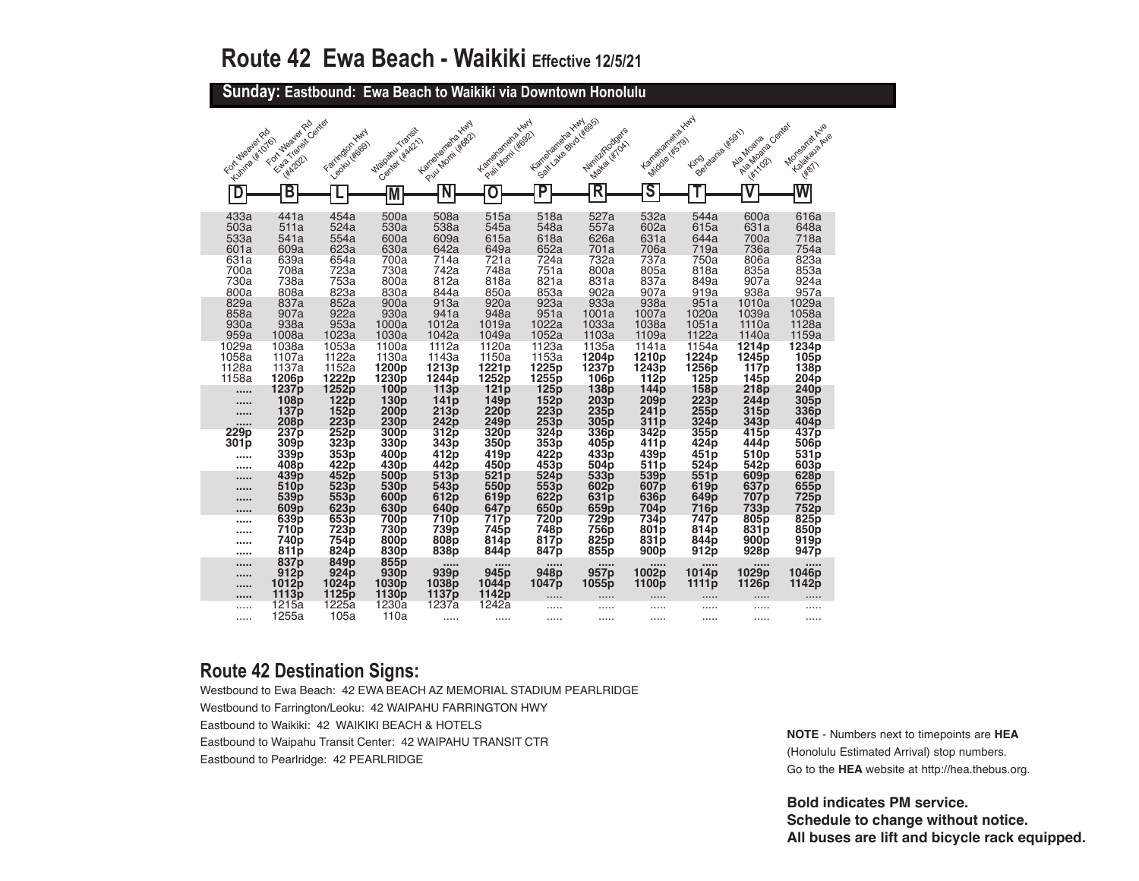**Sunday: Eastbound: Ewa Beach to Waikiki via Downtown Honolulu** 

| For Mealer Rd   | Ether Transit Center                                 | Farrington Hwy                                                     | Maioaru Traceit                                                  | Karapanahaya Kiny                              | Karrenananaka kuw                                  | Kanglangra <sub>ttan</sub>               | Winiverpodges                | Kemelanena Hury                          | Bereigna (KSB1)                        | Algebra cantal                                                   | Monsartat Avie                                       |
|-----------------|------------------------------------------------------|--------------------------------------------------------------------|------------------------------------------------------------------|------------------------------------------------|----------------------------------------------------|------------------------------------------|------------------------------|------------------------------------------|----------------------------------------|------------------------------------------------------------------|------------------------------------------------------|
| Kumize (#1076)  | For Wealer Rd                                        | Leoku (#669)                                                       | Center y KA21                                                    | Pull Morni (#682)                              | Pail Monti Wood                                    | Seattle assessed typesses                | <b>Maka LiffToki</b>         | Middle (#579)                            | <b>Fire</b>                            | Ala Moana                                                        | Kalakata <sub>pule</sub>                             |
| D               | <b>HA2021</b><br>В                                   |                                                                    |                                                                  | N                                              | O                                                  | $\overline{\mathsf{P}}$                  | R                            | $\overline{\mathsf{s}}$                  |                                        | <b>WATOR</b>                                                     | 1887                                                 |
|                 |                                                      |                                                                    | M                                                                |                                                |                                                    |                                          |                              |                                          |                                        |                                                                  |                                                      |
| 433a            | 441a                                                 | 454a                                                               | 500a                                                             | 508a                                           | 515a                                               | 518a                                     | 527a                         | 532a                                     | 544a                                   | 600a                                                             | 616a                                                 |
| 503a            | 511a                                                 | 524a                                                               | 530a                                                             | 538a                                           | 545a                                               | 548a                                     | 557a                         | 602a                                     | 615a                                   | 631a                                                             | 648a                                                 |
| 533a            | 541a                                                 | 554a                                                               | 600a                                                             | 609a                                           | 615a                                               | 618a                                     | 626a                         | 631a                                     | 644a                                   | 700a                                                             | 718a                                                 |
| 601a            | 609a                                                 | 623a                                                               | 630a                                                             | 642a                                           | 649a                                               | 652a                                     | 701a                         | 706a                                     | 719a                                   | 736a                                                             | 754a                                                 |
| 631a            | 639a                                                 | 654a                                                               | 700a                                                             | 714a                                           | 721a                                               | 724a                                     | 732a                         | 737a                                     | 750a                                   | 806a                                                             | 823a                                                 |
| 700a            | 708a                                                 | 723a                                                               | 730a                                                             | 742a                                           | 748a                                               | 751a                                     | 800a                         | 805a                                     | 818a                                   | 835a                                                             | 853a                                                 |
| 730a            | 738a                                                 | 753a                                                               | 800a                                                             | 812a                                           | 818a                                               | 821a                                     | 831a                         | 837a                                     | 849a                                   | 907a                                                             | 924a                                                 |
| 800a            | 808a                                                 | 823a                                                               | 830a                                                             | 844a                                           | 850a                                               | 853a                                     | 902a                         | 907a                                     | 919a                                   | 938a                                                             | 957a                                                 |
| 829a            | 837a                                                 | 852a                                                               | 900a                                                             | 913a                                           | 920a                                               | 923a                                     | 933a                         | 938a                                     | 951a                                   | 1010a                                                            | 1029a                                                |
| 858a            | 907a                                                 | 922a                                                               | 930a                                                             | 941a                                           | 948a                                               | 951a                                     | 1001a                        | 1007a                                    | 1020a                                  | 1039a                                                            | 1058a                                                |
| 930a            | 938a                                                 | 953a                                                               | 1000a                                                            | 1012a                                          | 1019a                                              | 1022a                                    | 1033a                        | 1038a                                    | 1051a                                  | 1110a                                                            | 1128a                                                |
| 959a            | 1008a                                                | 1023a                                                              | 1030a                                                            | 1042a                                          | 1049a                                              | 1052a                                    | 1103a                        | 1109a                                    | 1122a                                  | 1140a                                                            | 1159a                                                |
| 1029a           | 1038a                                                | 1053a                                                              | 1100a                                                            | 1112a                                          | 1120a                                              | 1123a                                    | 1135a                        | 1141a                                    | 1154a                                  | 1214p                                                            | 1234p                                                |
| 1058a           | 1107a                                                | 1122a                                                              | 1130a                                                            | 1143a                                          | 1150a                                              | 1153a                                    | 1204p                        | 1210p                                    | 1224p                                  | 1245p                                                            | 105p                                                 |
| 1128a           | 1137a                                                | 1152a                                                              | 1200 <sub>p</sub>                                                | 1213p                                          | 1221p                                              | 1225p                                    | 1237 <sub>p</sub>            | 1243p                                    | 1256p                                  | 117 <sub>p</sub>                                                 | 138p                                                 |
| 1158a           | 1206p                                                | 1222p                                                              | 1230p                                                            | 1244p                                          | 1252p                                              | 1255p                                    | 106p                         | 112p                                     | 125p                                   | 145 <sub>p</sub>                                                 | 204 <sub>p</sub>                                     |
|                 | 1237p                                                | 1252p                                                              | 100p                                                             | 113p                                           | 121p                                               | 125p                                     | 138 <sub>p</sub>             | 144 <sub>p</sub>                         | 158p                                   | 218 <sub>p</sub>                                                 | 240 <sub>p</sub>                                     |
| 11111           | 108p                                                 | 122p                                                               | 130p                                                             | 141p                                           | 149p                                               | 152p                                     | 203p                         | 209p                                     | 223p                                   | 244p                                                             | 305p                                                 |
|                 | 137 <sub>p</sub>                                     | 152p                                                               | 200p                                                             | 213p                                           | 220p                                               | 223p                                     | 235 <sub>p</sub>             | 241 <sub>p</sub>                         | 255p                                   | 315p                                                             | 336 <sub>p</sub>                                     |
|                 | 208 <sub>p</sub>                                     | 223p                                                               | 230 <sub>p</sub>                                                 | 242p                                           | 249p                                               | 253p                                     | 305p                         | 311p                                     | 324p                                   | 343 <sub>p</sub>                                                 | 404 <sub>p</sub>                                     |
| 229p            | 237p                                                 | 252p                                                               | 300 <sub>p</sub>                                                 | 312p                                           | 320p                                               | 324p                                     | 336p                         | 342p                                     | 355p                                   | 415p                                                             | 437p                                                 |
| 301p            | 309p                                                 | 323p                                                               | 330 <sub>p</sub>                                                 | 343p                                           | 350 <sub>p</sub>                                   | 353 <sub>p</sub>                         | 405 <sub>p</sub>             | 411 <sub>p</sub>                         | 424 <sub>p</sub>                       | 444p                                                             | 506 <sub>p</sub>                                     |
|                 | 339p                                                 | 353p                                                               | 400 <sub>p</sub>                                                 | 412p                                           | 419 <sub>p</sub>                                   | 422p                                     | 433p                         | 439p                                     | 451 <sub>p</sub>                       | 510 <sub>p</sub>                                                 | 531p                                                 |
|                 | 408 <sub>p</sub>                                     | 422p                                                               | 430 <sub>p</sub>                                                 | 442p                                           | 450p                                               | 453 <sub>p</sub>                         | 504p                         | 511 <sub>p</sub>                         | 524 <sub>p</sub>                       | 542p                                                             | 603 <sub>p</sub>                                     |
|                 | 439p                                                 | 452p                                                               | 500 <sub>p</sub>                                                 | 513p                                           | 521p                                               | 524p                                     | 533p                         | 539p                                     | 551p                                   | 609 <sub>p</sub>                                                 | 628p                                                 |
|                 | 510p                                                 | 523p                                                               | 530 <sub>p</sub>                                                 | 543p                                           | 550p                                               | 553p                                     | 602p                         | 607p                                     | 619p                                   | 637p                                                             | 655 <sub>p</sub>                                     |
| 11111           | 539p                                                 | 553p                                                               | 600 <sub>p</sub>                                                 | 612p                                           | 619p                                               | 622p                                     | 631p                         | 636p                                     | 649p                                   | 707 <sub>p</sub>                                                 | 725p                                                 |
|                 | 609 <sub>p</sub>                                     | 623 <sub>p</sub>                                                   | 630 <sub>p</sub>                                                 | 640p                                           | 647 <sub>p</sub>                                   | 650 <sub>p</sub>                         | 659p                         | 704 <sub>p</sub>                         | 716 <sub>p</sub>                       | 733p                                                             | 752p                                                 |
| <br>            | 639 <sub>p</sub><br>710p<br>740p<br>811 <sub>p</sub> | 653p<br>723p<br>754 <sub>p</sub><br>824p                           | 700 <sub>p</sub><br>730p<br>800 <sub>p</sub><br>830 <sub>p</sub> | 710p<br>739p<br>808p<br>838p                   | 717p<br>745 <sub>p</sub><br>814p<br>844p           | 720p<br>748p<br>817p<br>847 <sub>p</sub> | 729p<br>756p<br>825p<br>855p | 734p<br>801p<br>831p<br>900 <sub>p</sub> | 747p<br>814p<br>844p<br>912p           | 805 <sub>p</sub><br>831 <sub>p</sub><br>900p<br>928 <sub>p</sub> | 825p<br>850p<br>919 <sub>p</sub><br>947 <sub>p</sub> |
| <br>$- - - - -$ | 837 <sub>p</sub><br>912p<br>1012p<br>1113p           | 849 <sub>p</sub><br>924 <sub>p</sub><br>1024 <sub>p</sub><br>1125p | 855p<br>930p<br>1030 <sub>p</sub><br>1130 <sub>p</sub>           | $\cdots$<br>939p<br>1038 <sub>p</sub><br>1137p | <br>945 <sub>p</sub><br>1044 <sub>p</sub><br>1142p | <br>948 <sub>p</sub><br>1047p            | <br>957p<br>1055p            | <br>1002p<br>1100p                       | $\cdots$<br>1014p<br>1111 <sub>p</sub> | $\cdots$<br>1029p<br>1126p                                       | <br>1046 <sub>p</sub><br>1142p                       |
| .               | 1215a                                                | 1225a                                                              | 1230a                                                            | 1237a                                          | 1242a                                              | .                                        | .                            | .                                        | .                                      | .                                                                | .                                                    |
| .               | 1255a                                                | 105a                                                               | 110a                                                             | .                                              | .                                                  | .                                        | .                            | .                                        | .                                      | .                                                                | .                                                    |

### **Route 42 Destination Signs:**

Westbound to Ewa Beach: 42 EWA BEACH AZ MEMORIAL STADIUM PEARLRIDGE Westbound to Farrington/Leoku: 42 WAIPAHU FARRINGTON HWY Eastbound to Waikiki: 42 WAIKIKI BEACH & HOTELS Eastbound to Waipahu Transit Center: 42 WAIPAHU TRANSIT CTR Eastbound to Pearlridge: 42 PEARLRIDGE

**NOTE** - Numbers next to timepoints are **HEA** (Honolulu Estimated Arrival) stop numbers. Go to the **HEA** website at http://hea.thebus.org.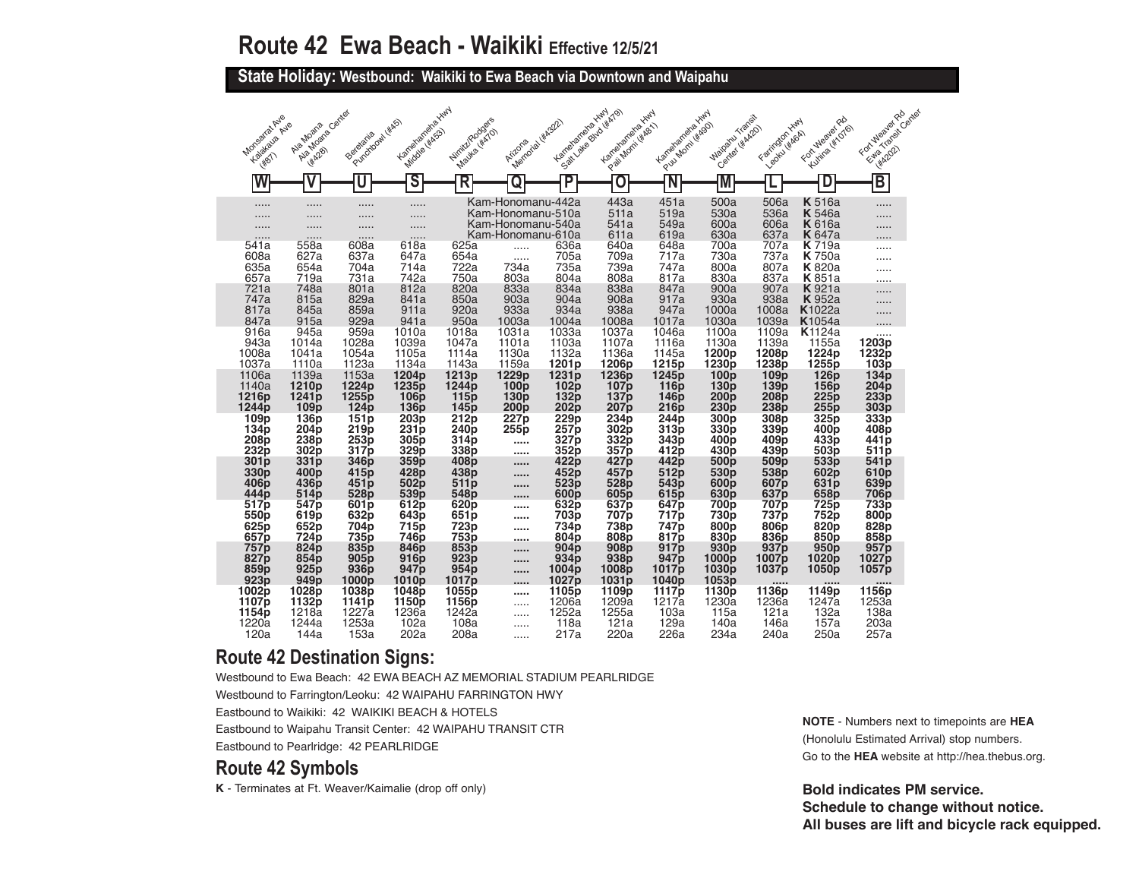**State Holiday: Westbound: Waikiki to Ewa Beach via Downtown and Waipahu** 

| Monseira Ave<br>Kalakaya Avie<br><b>West</b>                            | Algeboare Center<br>Ale Moans<br><b>HA28</b>                     | Purchbowl (#AS)<br>Beretania                                     | Karrehanana XIIIII<br>Middle (#ASS)                              | Nirritz/Rodgers<br>Mayka (#MO)                           | Memorial Wiccord<br>Arizona                                                      | Kanahamaha Xwy                                        | Salt Jake Bud (#A79)<br>Larrenamenta Hwy<br>P.exil Monti (Kee)     | Kanelangrandra Hury<br>Pull Montiversity                      | Maiparu Transit<br>Center Hitch201                                 | Farington Hwy<br>Leonu (#464)                                    | Fortuleaver Rd<br>Kunina (#1076)                                      | FortuNealerRo<br>Ethio Transit Canter<br><b>HA2021</b>      |
|-------------------------------------------------------------------------|------------------------------------------------------------------|------------------------------------------------------------------|------------------------------------------------------------------|----------------------------------------------------------|----------------------------------------------------------------------------------|-------------------------------------------------------|--------------------------------------------------------------------|---------------------------------------------------------------|--------------------------------------------------------------------|------------------------------------------------------------------|-----------------------------------------------------------------------|-------------------------------------------------------------|
|                                                                         |                                                                  |                                                                  | S                                                                | R                                                        | Q                                                                                | P                                                     | C                                                                  | N                                                             | M                                                                  |                                                                  |                                                                       | $\overline{\mathsf{B}}$                                     |
| .<br>.<br>.                                                             | .<br>.<br>.                                                      | .<br>.<br>.                                                      | .<br>.<br>.                                                      |                                                          | Kam-Honomanu-442a<br>Kam-Honomanu-510a<br>Kam-Honomanu-540a<br>Kam-Honomanu-610a |                                                       | 443a<br>511a<br>541a<br>611a                                       | 451a<br>519a<br>549a<br>619a                                  | 500a<br>530a<br>600a<br>630a                                       | 506a<br>536a<br>606a<br>637a                                     | <b>K</b> 516a<br><b>K</b> 546a<br><b>K</b> 616a<br><b>K</b> 647a      | .<br>.<br>.                                                 |
| 541a<br>608a<br>635a                                                    | 558a<br>627a<br>654a<br>719a                                     | 608a<br>637a<br>704a<br>731a                                     | .<br>618a<br>647a<br>714a<br>742a                                | 625a<br>654a<br>722a<br>750a                             | .<br>1.1.1.1<br>734a                                                             | 636a<br>705a<br>735a                                  | 640a<br>709a<br>739a                                               | 648a<br>717a<br>747a<br>817a                                  | 700a<br>730a<br>800a<br>830a                                       | 707a<br>737a<br>807a<br>837a                                     | <b>K</b> 719a<br><b>K</b> 750a<br><b>K</b> 820a                       | .                                                           |
| 657a<br>721a<br>747a<br>817a                                            | 748a<br>815a<br>845a                                             | 801a<br>829a<br>859a                                             | 812a<br>841a<br>911a                                             | 820a<br>850a<br>920a                                     | 803a<br>833a<br>903a<br>933a                                                     | 804a<br>834a<br>904a<br>934a                          | 808a<br>838a<br>908a<br>938a                                       | 847a<br>917a<br>947a                                          | 900a<br>930a<br>1000a                                              | 907a<br>938a<br>1008a                                            | <b>K</b> 851a<br><b>K</b> 921a<br><b>K</b> 952a<br>K <sub>1022a</sub> | .<br>.                                                      |
| 847a<br>916a<br>943a<br>1008a                                           | 915a<br>945a<br>1014a<br>1041a                                   | 929a<br>959a<br>1028a<br>1054a                                   | 941a<br>1010a<br>1039a<br>1105a                                  | 950a<br>1018a<br>1047a<br>1114a                          | 1003a<br>1031a<br>1101a<br>1130a                                                 | 1004a<br>1033a<br>1103a<br>1132a                      | 1008a<br>1037a<br>1107a<br>1136a                                   | 1017a<br>1046a<br>1116a<br>1145a                              | 1030a<br>1100a<br>1130a<br>1200p                                   | 1039a<br>1109a<br>1139a<br>1208p                                 | <b>K</b> 1054a<br><b>K</b> 1124a<br>1155a<br>1224p                    | .<br>1203p<br>1232p                                         |
| 1037a<br>1106a<br>1140a<br>1216 <sub>p</sub>                            | 1110a<br>1139a<br>1210p<br>1241 <sub>p</sub>                     | 1123a<br>1153a<br>1224p<br>1255 <sub>p</sub>                     | 1134a<br>1204 <sub>p</sub><br>1235 <sub>p</sub><br>106p          | 1143a<br>1213 <sub>p</sub><br>1244 <sub>p</sub><br>115p  | 1159a<br>1229 <sub>p</sub><br>100 <sub>p</sub><br>130 <sub>p</sub>               | 1201 <sub>p</sub><br>1231p<br>102p<br>132p            | 1206p<br>1236 <sub>p</sub><br>107 <sub>p</sub><br>137 <sub>p</sub> | 1215p<br>1245 <sub>p</sub><br><b>116p</b><br>146 <sub>p</sub> | 1230 <sub>p</sub><br>100 <sub>p</sub><br>130p<br>200 <sub>p</sub>  | 1238p<br>109 <sub>p</sub><br>139 <sub>p</sub><br>208p            | 1255p<br>126 <sub>p</sub><br>156p<br>225p                             | 103p<br>134 <sub>p</sub><br>204p<br>233p                    |
| 1244 <sub>p</sub><br>109p<br>134p<br>208p                               | 109 <sub>p</sub><br>136p<br>204 <sub>p</sub><br>238p             | 124 <sub>p</sub><br>151p<br>219p<br>253p                         | 136 <sub>p</sub><br>203p<br>231p<br>305p                         | 145 p<br>212p<br>240 <sub>p</sub><br>314 <sub>p</sub>    | 200p<br>227p<br>255p<br>                                                         | 202p<br>229p<br>257p<br>327p                          | 207 p<br>234p<br>302p<br>332p                                      | <b>216p</b><br>244p<br>313p<br>343p                           | 230p<br>300 <sub>p</sub><br>330 <sub>p</sub><br>400 <sub>p</sub>   | 238p<br>308p<br>339 <sub>p</sub><br>409 <sub>p</sub>             | 255p<br>325p<br>400p<br>433p                                          | 303p<br>333p<br>408p<br>441 <sub>p</sub>                    |
| 232p<br>301 <sub>p</sub><br>330 <sub>p</sub><br>406 <sub>p</sub>        | 302p<br>331p<br>400 <sub>p</sub><br>436p                         | 317p<br>346 <sub>p</sub><br>415 <sub>p</sub><br>451 <sub>p</sub> | 329 <sub>p</sub><br>359 <sub>p</sub><br>428 <sub>p</sub><br>502p | 338p<br>408p<br>438p<br>511 <sub>p</sub>                 | <br><br><br>                                                                     | 352p<br>422p<br>452p<br>523p                          | 357p<br>427 p<br>457p<br>528p                                      | 412p<br>442p<br>512p<br>543 <sub>p</sub>                      | 430 <sub>p</sub><br>500 <sub>p</sub><br>530 <sub>p</sub><br>600p   | 439 <sub>p</sub><br>509 <sub>p</sub><br>538p<br>607 <sub>p</sub> | 503p<br>533 <sub>p</sub><br>602p<br>631 <sub>p</sub>                  | 511 <sub>p</sub><br>541 <sub>p</sub><br>610p<br>639p        |
| 444 <sub>p</sub><br>517p<br>550p<br>625 <sub>p</sub>                    | 514p<br>547 <sub>p</sub><br>619p<br>652p                         | 528p<br>601 <sub>p</sub><br>632p<br>704p                         | 539p<br>612p<br>643p<br>715p                                     | 548p<br>620p<br>651p<br><b>723p</b>                      | 1.111<br><br><br>                                                                | 600p<br>632p<br>703p<br>734 <sub>p</sub>              | 605p<br>637p<br>707p<br>738 <sub>p</sub>                           | 615p<br>647 p<br>717 <sub>p</sub><br>747 p                    | 630p<br>700 p<br>730 <sub>p</sub><br>800p                          | 637p<br>707 p<br>737p<br>806 <sub>p</sub>                        | 658p<br>725p<br>752p<br>820 <sub>p</sub>                              | <b>706p</b><br>733p<br>800 <sub>p</sub><br>828 <sub>p</sub> |
| 657 <sub>p</sub><br><b>757p</b><br>827 <sub>p</sub><br>859 <sub>p</sub> | 724p<br>824 <sub>p</sub><br>854 <sub>p</sub><br>925 <sub>p</sub> | 735 <sub>p</sub><br>835p<br>905 <sub>p</sub><br>936 <sub>p</sub> | 746 p<br>846p<br>916 <sub>p</sub><br>947 p                       | 753p<br>853 <sub>p</sub><br>923p<br>954p                 | <br>$- - - - -$<br><br>1.1.1.1                                                   | 804 <sub>p</sub><br>904 <sub>p</sub><br>934p<br>1004p | 808p<br>908 <sub>p</sub><br>938p<br>1008p                          | 817p<br>917p<br>947 <sub>p</sub><br>1017p                     | 830 <sub>p</sub><br>930 <sub>p</sub><br>1000p<br>1030 <sub>p</sub> | 836 <sub>p</sub><br>937 <sub>p</sub><br>1007 p<br>1037p          | 850p<br>950p<br>1020ɒ<br>1050p                                        | 858 <sub>p</sub><br>957 <sub>p</sub><br>1027 p<br>1057p     |
| 923p<br>1002p<br>1107p<br>1154p                                         | 949 <sub>p</sub><br>1028p<br>1132p<br>1218a                      | 1000ɒ<br>1038p<br>1141 <sub>p</sub><br>1227a                     | 1010p<br>1048p<br>1150p<br>1236a                                 | 1017 <sub>p</sub><br>1055 <sub>p</sub><br>1156p<br>1242a | <br><br>                                                                         | 1027 p<br>1105p<br>1206a<br>1252a                     | 1031p<br>1109p<br>1209a<br>1255a                                   | 1040p<br>1117p<br>1217a<br>103a                               | 1053p<br>1130p<br>1230a<br>115a                                    | 1136p<br>1236a<br>121a                                           | <br>1149p<br>1247a<br>132a                                            | <br>1156p<br>1253a<br>138a                                  |
| 1220a<br>120a                                                           | 1244a<br>144a                                                    | 1253a<br>153a                                                    | 102a<br>202a                                                     | 108a<br>208a                                             | <br>1.1.1                                                                        | 118a<br>217a                                          | 121a<br>220a                                                       | 129a<br>226a                                                  | 140a<br>234a                                                       | 146a<br>240a                                                     | 157a<br>250a                                                          | 203a<br>257a                                                |

#### **Route 42 Destination Signs:**

Westbound to Ewa Beach: 42 EWA BEACH AZ MEMORIAL STADIUM PEARLRIDGE Westbound to Farrington/Leoku: 42 WAIPAHU FARRINGTON HWY

Eastbound to Waikiki: 42 WAIKIKI BEACH & HOTELS

Eastbound to Waipahu Transit Center: 42 WAIPAHU TRANSIT CTR

Eastbound to Pearlridge: 42 PEARLRIDGE

### **Route 42 Symbols**

**K** - Terminates at Ft. Weaver/Kaimalie (drop off only)

**NOTE** - Numbers next to timepoints are **HEA** (Honolulu Estimated Arrival) stop numbers. Go to the **HEA** website at http://hea.thebus.org.